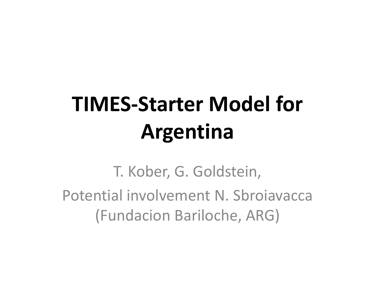# **TIMES-Starter Model for Argentina**

T. Kober, G. Goldstein, Potential involvement N. Sbroiavacca (Fundacion Bariloche, ARG)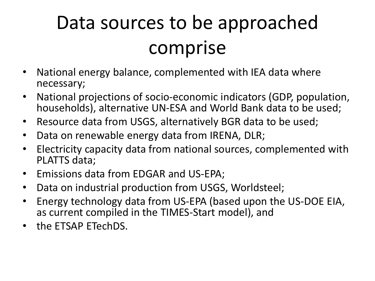#### Data sources to be approached comprise

- National energy balance, complemented with IEA data where necessary;
- National projections of socio-economic indicators (GDP, population, households), alternative UN-ESA and World Bank data to be used;
- Resource data from USGS, alternatively BGR data to be used;
- Data on renewable energy data from IRENA, DLR;
- Electricity capacity data from national sources, complemented with PLATTS data;
- Emissions data from EDGAR and US-EPA;
- Data on industrial production from USGS, Worldsteel;
- Energy technology data from US-EPA (based upon the US-DOE EIA, as current compiled in the TIMES-Start model), and
- the ETSAP ETechDS.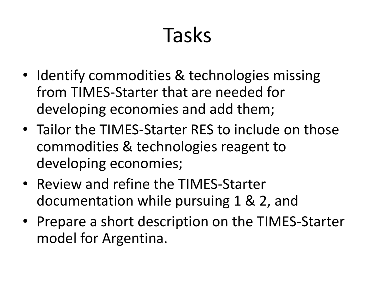## Tasks

- Identify commodities & technologies missing from TIMES-Starter that are needed for developing economies and add them;
- Tailor the TIMES-Starter RES to include on those commodities & technologies reagent to developing economies;
- Review and refine the TIMES-Starter documentation while pursuing 1 & 2, and
- Prepare a short description on the TIMES-Starter model for Argentina.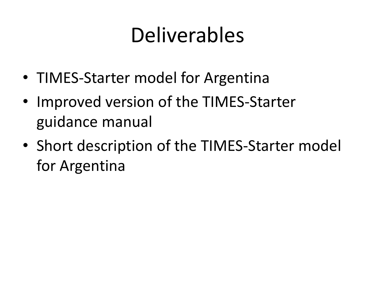### Deliverables

- TIMES-Starter model for Argentina
- Improved version of the TIMES-Starter guidance manual
- Short description of the TIMES-Starter model for Argentina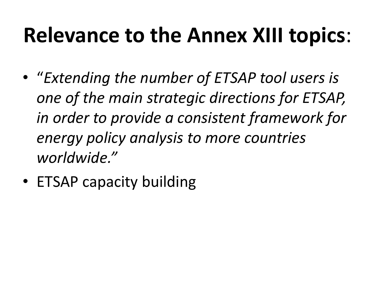### **Relevance to the Annex XIII topics**:

- "*Extending the number of ETSAP tool users is one of the main strategic directions for ETSAP, in order to provide a consistent framework for energy policy analysis to more countries worldwide."*
- ETSAP capacity building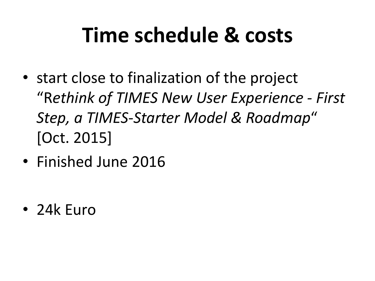## **Time schedule & costs**

- start close to finalization of the project "R*ethink of TIMES New User Experience - First Step, a TIMES-Starter Model & Roadmap*" [Oct. 2015]
- Finished June 2016

• 24k Euro